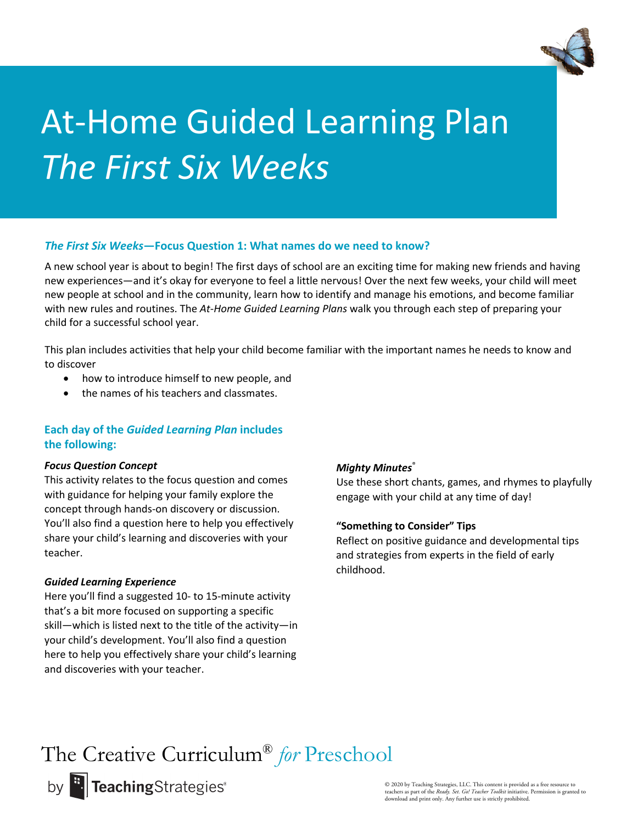

## *The First Six Weeks***—Focus Question 1: What names do we need to know?**

A new school year is about to begin! The first days of school are an exciting time for making new friends and having new experiences—and it's okay for everyone to feel a little nervous! Over the next few weeks, your child will meet new people at school and in the community, learn how to identify and manage his emotions, and become familiar with new rules and routines. The *At-Home Guided Learning Plans* walk you through each step of preparing your child for a successful school year.

This plan includes activities that help your child become familiar with the important names he needs to know and to discover

- how to introduce himself to new people, and
- the names of his teachers and classmates.

## **Each day of the** *Guided Learning Plan* **includes the following:**

#### *Focus Question Concept*

This activity relates to the focus question and comes with guidance for helping your family explore the concept through hands-on discovery or discussion. You'll also find a question here to help you effectively share your child's learning and discoveries with your teacher.

#### *Guided Learning Experience*

Here you'll find a suggested 10- to 15-minute activity that's a bit more focused on supporting a specific skill—which is listed next to the title of the activity—in your child's development. You'll also find a question here to help you effectively share your child's learning and discoveries with your teacher.

## *Mighty Minutes*®

Use these short chants, games, and rhymes to playfully engage with your child at any time of day!

## **"Something to Consider" Tips**

Reflect on positive guidance and developmental tips and strategies from experts in the field of early childhood.

The Creative Curriculum® *for* Preschool

by **:.** TeachingStrategies<sup>®</sup>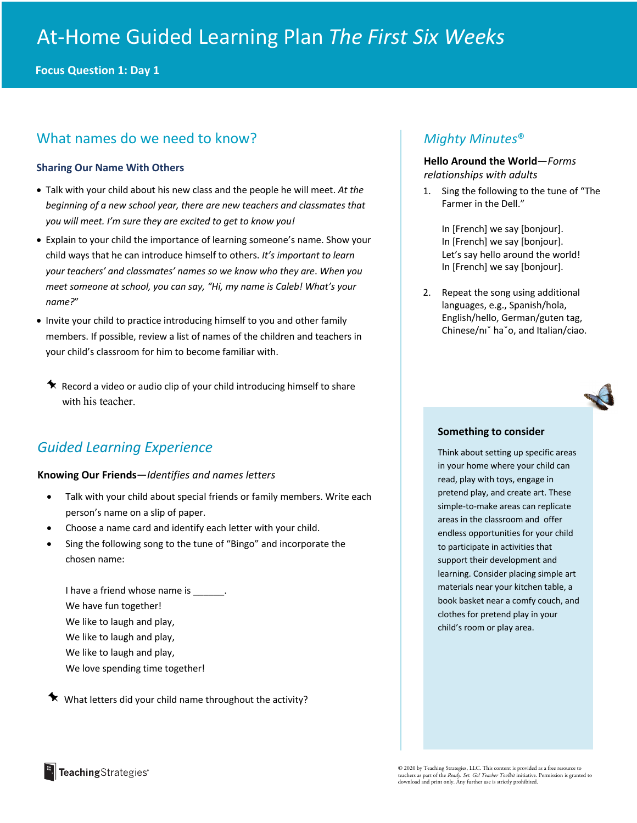**Focus Question 1: Day 1**

## What names do we need to know?

#### **Sharing Our Name With Others**

- Talk with your child about his new class and the people he will meet. *At the beginning of a new school year, there are new teachers and classmates that you will meet. I'm sure they are excited to get to know you!*
- Explain to your child the importance of learning someone's name. Show your child ways that he can introduce himself to others. *It's important to learn your teachers' and classmates' names so we know who they are*. *When you meet someone at school, you can say, "Hi, my name is Caleb! What's your name?*"
- Invite your child to practice introducing himself to you and other family members. If possible, review a list of names of the children and teachers in your child's classroom for him to become familiar with.
	- $\star$  Record a video or audio clip of your child introducing himself to share with his teacher.

## *Guided Learning Experience*

#### **Knowing Our Friends**—*Identifies and names letters*

- Talk with your child about special friends or family members. Write each person's name on a slip of paper.
- Choose a name card and identify each letter with your child.
- Sing the following song to the tune of "Bingo" and incorporate the chosen name:

I have a friend whose name is \_\_\_\_\_ We have fun together! We like to laugh and play, We like to laugh and play, We like to laugh and play, We love spending time together!

 $\star$  What letters did your child name throughout the activity?

## *Mighty Minutes*®

## **Hello Around the World**—*Forms relationships with adults*

1. Sing the following to the tune of "The Farmer in the Dell."

> In [French] we say [bonjour]. In [French] we say [bonjour]. Let's say hello around the world! In [French] we say [bonjour].

2. Repeat the song using additional languages, e.g., Spanish/hola, English/hello, German/guten tag, Chinese/nıˇ haˇo, and Italian/ciao.

#### **Something to consider**

Think about setting up specific areas in your home where your child can read, play with toys, engage in pretend play, and create art. These simple-to-make areas can replicate areas in the classroom and offer endless opportunities for your child to participate in activities that support their development and learning. Consider placing simple art materials near your kitchen table, a book basket near a comfy couch, and clothes for pretend play in your child's room or play area.

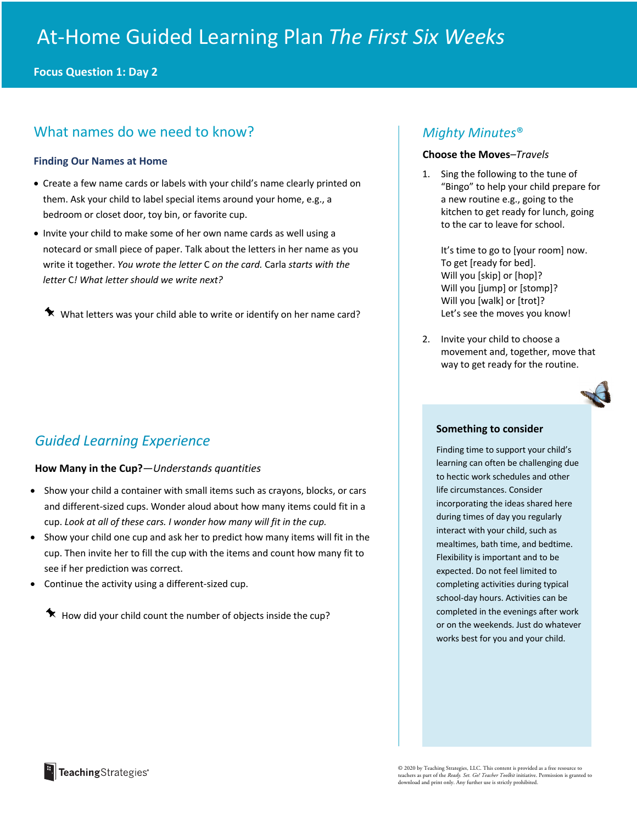**Focus Question 1: Day 2**

## What names do we need to know?

#### **Finding Our Names at Home**

- Create a few name cards or labels with your child's name clearly printed on them. Ask your child to label special items around your home, e.g., a bedroom or closet door, toy bin, or favorite cup.
- Invite your child to make some of her own name cards as well using a notecard or small piece of paper. Talk about the letters in her name as you write it together. *You wrote the letter* C *on the card.* Carla *starts with the letter* C*! What letter should we write next?*

 $\blacklozenge$  What letters was your child able to write or identify on her name card?

## *Guided Learning Experience*

## **How Many in the Cup?**—*Understands quantities*

- Show your child a container with small items such as crayons, blocks, or cars and different-sized cups. Wonder aloud about how many items could fit in a cup. *Look at all of these cars. I wonder how many will fit in the cup.*
- Show your child one cup and ask her to predict how many items will fit in the cup. Then invite her to fill the cup with the items and count how many fit to see if her prediction was correct.
- Continue the activity using a different-sized cup.
	- $\star$  How did your child count the number of objects inside the cup?

## *Mighty Minutes*®

#### **Choose the Moves***–Travels*

1. Sing the following to the tune of "Bingo" to help your child prepare for a new routine e.g., going to the kitchen to get ready for lunch, going to the car to leave for school.

It's time to go to [your room] now. To get [ready for bed]. Will you [skip] or [hop]? Will you [jump] or [stomp]? Will you [walk] or [trot]? Let's see the moves you know!

2. Invite your child to choose a movement and, together, move that way to get ready for the routine.



#### **Something to consider**

Finding time to support your child's learning can often be challenging due to hectic work schedules and other life circumstances. Consider incorporating the ideas shared here during times of day you regularly interact with your child, such as mealtimes, bath time, and bedtime. Flexibility is important and to be expected. Do not feel limited to completing activities during typical school-day hours. Activities can be completed in the evenings after work or on the weekends. Just do whatever works best for you and your child.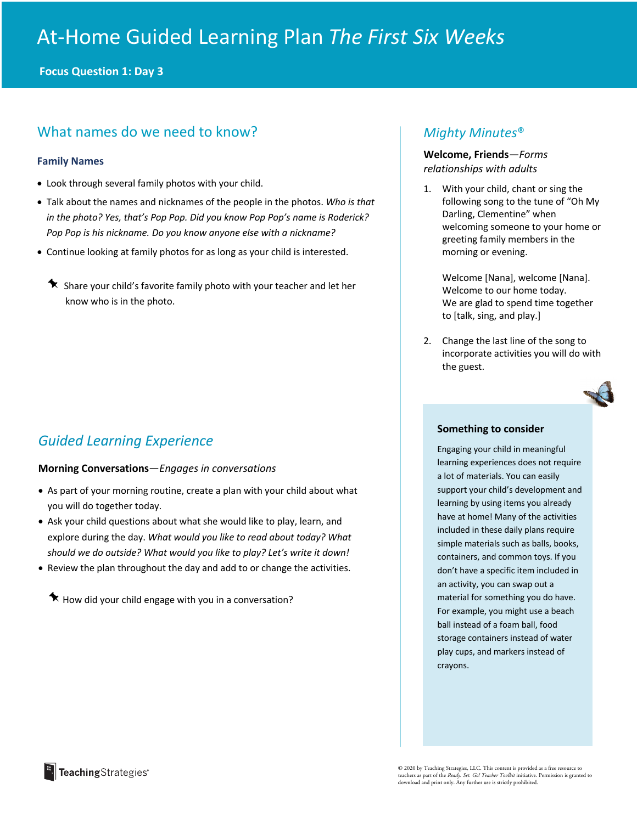**Focus Question 1: Day 3**

## What names do we need to know?

#### **Family Names**

- Look through several family photos with your child.
- Talk about the names and nicknames of the people in the photos. *Who is that in the photo? Yes, that's Pop Pop. Did you know Pop Pop's name is Roderick? Pop Pop is his nickname. Do you know anyone else with a nickname?*
- Continue looking at family photos for as long as your child is interested.
	- $\star$  Share your child's favorite family photo with your teacher and let her know who is in the photo.

## *Guided Learning Experience*

## **Morning Conversations**—*Engages in conversations*

- As part of your morning routine, create a plan with your child about what you will do together today.
- Ask your child questions about what she would like to play, learn, and explore during the day. *What would you like to read about today? What should we do outside? What would you like to play? Let's write it down!*
- Review the plan throughout the day and add to or change the activities.

 $\star$  How did your child engage with you in a conversation?

## *Mighty Minutes*®

## **Welcome, Friends***—Forms relationships with adults*

1. With your child, chant or sing the following song to the tune of "Oh My Darling, Clementine" when welcoming someone to your home or greeting family members in the morning or evening.

Welcome [Nana], welcome [Nana]. Welcome to our home today. We are glad to spend time together to [talk, sing, and play.]

2. Change the last line of the song to incorporate activities you will do with the guest.



#### **Something to consider**

Engaging your child in meaningful learning experiences does not require a lot of materials. You can easily support your child's development and learning by using items you already have at home! Many of the activities included in these daily plans require simple materials such as balls, books, containers, and common toys. If you don't have a specific item included in an activity, you can swap out a material for something you do have. For example, you might use a beach ball instead of a foam ball, food storage containers instead of water play cups, and markers instead of crayons.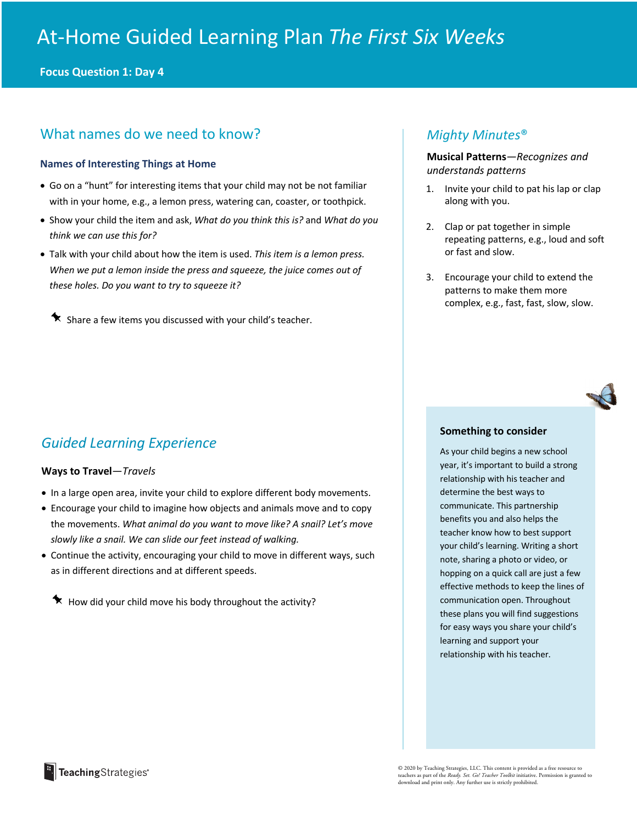**Focus Question 1: Day 4**

## What names do we need to know?

#### **Names of Interesting Things at Home**

- Go on a "hunt" for interesting items that your child may not be not familiar with in your home, e.g., a lemon press, watering can, coaster, or toothpick.
- Show your child the item and ask, *What do you think this is?* and *What do you think we can use this for?*
- Talk with your child about how the item is used. *This item is a lemon press. When we put a lemon inside the press and squeeze, the juice comes out of these holes. Do you want to try to squeeze it?*

 $\bigstar$  Share a few items you discussed with your child's teacher.

## *Guided Learning Experience*

#### **Ways to Travel**—*Travels*

- In a large open area, invite your child to explore different body movements.
- Encourage your child to imagine how objects and animals move and to copy the movements. *What animal do you want to move like? A snail? Let's move slowly like a snail. We can slide our feet instead of walking.*
- Continue the activity, encouraging your child to move in different ways, such as in different directions and at different speeds.

 $\star$  How did your child move his body throughout the activity?

## *Mighty Minutes*®

**Musical Patterns***—Recognizes and understands patterns*

- 1. Invite your child to pat his lap or clap along with you.
- 2. Clap or pat together in simple repeating patterns, e.g., loud and soft or fast and slow.
- 3. Encourage your child to extend the patterns to make them more complex, e.g., fast, fast, slow, slow.

#### **Something to consider**

As your child begins a new school year, it's important to build a strong relationship with his teacher and determine the best ways to communicate. This partnership benefits you and also helps the teacher know how to best support your child's learning. Writing a short note, sharing a photo or video, or hopping on a quick call are just a few effective methods to keep the lines of communication open. Throughout these plans you will find suggestions for easy ways you share your child's learning and support your relationship with his teacher.